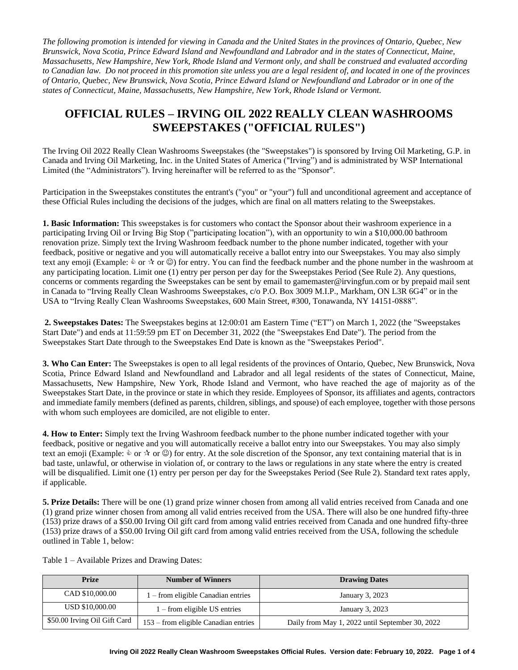*The following promotion is intended for viewing in Canada and the United States in the provinces of Ontario, Quebec, New Brunswick, Nova Scotia, Prince Edward Island and Newfoundland and Labrador and in the states of Connecticut, Maine, Massachusetts, New Hampshire, New York, Rhode Island and Vermont only, and shall be construed and evaluated according to Canadian law. Do not proceed in this promotion site unless you are a legal resident of, and located in one of the provinces of Ontario, Quebec, New Brunswick, Nova Scotia, Prince Edward Island or Newfoundland and Labrador or in one of the states of Connecticut, Maine, Massachusetts, New Hampshire, New York, Rhode Island or Vermont.* 

## **OFFICIAL RULES – IRVING OIL 2022 REALLY CLEAN WASHROOMS SWEEPSTAKES ("OFFICIAL RULES")**

The Irving Oil 2022 Really Clean Washrooms Sweepstakes (the "Sweepstakes") is sponsored by Irving Oil Marketing, G.P. in Canada and Irving Oil Marketing, Inc. in the United States of America ("Irving") and is administrated by WSP International Limited (the "Administrators"). Irving hereinafter will be referred to as the "Sponsor".

Participation in the Sweepstakes constitutes the entrant's ("you" or "your") full and unconditional agreement and acceptance of these Official Rules including the decisions of the judges, which are final on all matters relating to the Sweepstakes.

**1. Basic Information:** This sweepstakes is for customers who contact the Sponsor about their washroom experience in a participating Irving Oil or Irving Big Stop ("participating location"), with an opportunity to win a \$10,000.00 bathroom renovation prize. Simply text the Irving Washroom feedback number to the phone number indicated, together with your feedback, positive or negative and you will automatically receive a ballot entry into our Sweepstakes. You may also simply text any emoji (Example:  $\&$  or  $\&$  or  $\&$ ) for entry. You can find the feedback number and the phone number in the washroom at any participating location. Limit one (1) entry per person per day for the Sweepstakes Period (See Rule 2). Any questions, concerns or comments regarding the Sweepstakes can be sent by email to gamemaster@irvingfun.com or by prepaid mail sent in Canada to "Irving Really Clean Washrooms Sweepstakes, c/o P.O. Box 3009 M.I.P., Markham, ON L3R 6G4" or in the USA to "Irving Really Clean Washrooms Sweepstakes, 600 Main Street, #300, Tonawanda, NY 14151-0888".

**2. Sweepstakes Dates:** The Sweepstakes begins at 12:00:01 am Eastern Time ("ET") on March 1, 2022 (the "Sweepstakes Start Date") and ends at 11:59:59 pm ET on December 31, 2022 (the "Sweepstakes End Date"). The period from the Sweepstakes Start Date through to the Sweepstakes End Date is known as the "Sweepstakes Period".

**3. Who Can Enter:** The Sweepstakes is open to all legal residents of the provinces of Ontario, Quebec, New Brunswick, Nova Scotia, Prince Edward Island and Newfoundland and Labrador and all legal residents of the states of Connecticut, Maine, Massachusetts, New Hampshire, New York, Rhode Island and Vermont, who have reached the age of majority as of the Sweepstakes Start Date, in the province or state in which they reside. Employees of Sponsor, its affiliates and agents, contractors and immediate family members (defined as parents, children, siblings, and spouse) of each employee, together with those persons with whom such employees are domiciled, are not eligible to enter.

**4. How to Enter:** Simply text the Irving Washroom feedback number to the phone number indicated together with your feedback, positive or negative and you will automatically receive a ballot entry into our Sweepstakes. You may also simply text an emoji (Example:  $\&$  or  $\&$  or  $\heartsuit$ ) for entry. At the sole discretion of the Sponsor, any text containing material that is in bad taste, unlawful, or otherwise in violation of, or contrary to the laws or regulations in any state where the entry is created will be disqualified. Limit one (1) entry per person per day for the Sweepstakes Period (See Rule 2). Standard text rates apply, if applicable.

**5. Prize Details:** There will be one (1) grand prize winner chosen from among all valid entries received from Canada and one (1) grand prize winner chosen from among all valid entries received from the USA. There will also be one hundred fifty-three (153) prize draws of a \$50.00 Irving Oil gift card from among valid entries received from Canada and one hundred fifty-three (153) prize draws of a \$50.00 Irving Oil gift card from among valid entries received from the USA, following the schedule outlined in Table 1, below:

| <b>Prize</b>                 | <b>Number of Winners</b>               | <b>Drawing Dates</b>                            |
|------------------------------|----------------------------------------|-------------------------------------------------|
| CAD \$10,000.00              | 1 – from eligible Canadian entries     | January 3, 2023                                 |
| USD \$10,000.00              | $1$ – from eligible US entries         | January 3, 2023                                 |
| \$50.00 Irving Oil Gift Card | $153$ – from eligible Canadian entries | Daily from May 1, 2022 until September 30, 2022 |

Table 1 – Available Prizes and Drawing Dates: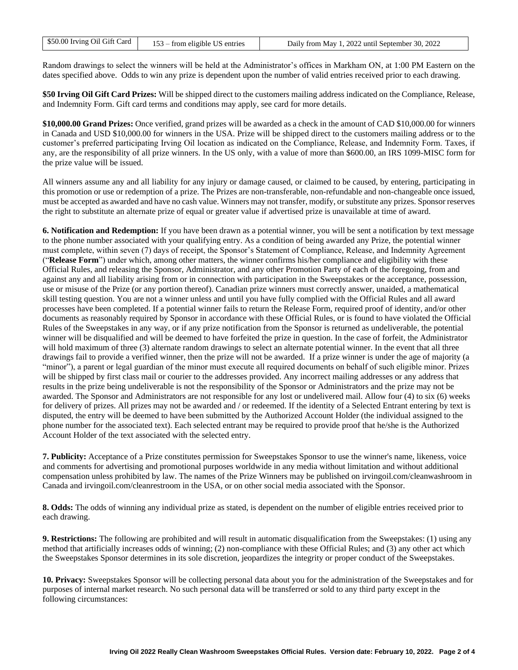| Daily from May 1, 2022 until September 30, 2022 |
|-------------------------------------------------|
|                                                 |

Random drawings to select the winners will be held at the Administrator's offices in Markham ON, at 1:00 PM Eastern on the dates specified above. Odds to win any prize is dependent upon the number of valid entries received prior to each drawing.

**\$50 Irving Oil Gift Card Prizes:** Will be shipped direct to the customers mailing address indicated on the Compliance, Release, and Indemnity Form. Gift card terms and conditions may apply, see card for more details.

**\$10,000.00 Grand Prizes:** Once verified, grand prizes will be awarded as a check in the amount of CAD \$10,000.00 for winners in Canada and USD \$10,000.00 for winners in the USA. Prize will be shipped direct to the customers mailing address or to the customer's preferred participating Irving Oil location as indicated on the Compliance, Release, and Indemnity Form. Taxes, if any, are the responsibility of all prize winners. In the US only, with a value of more than \$600.00, an IRS 1099-MISC form for the prize value will be issued.

All winners assume any and all liability for any injury or damage caused, or claimed to be caused, by entering, participating in this promotion or use or redemption of a prize. The Prizes are non-transferable, non-refundable and non-changeable once issued, must be accepted as awarded and have no cash value. Winners may not transfer, modify, or substitute any prizes. Sponsor reserves the right to substitute an alternate prize of equal or greater value if advertised prize is unavailable at time of award.

**6. Notification and Redemption:** If you have been drawn as a potential winner, you will be sent a notification by text message to the phone number associated with your qualifying entry. As a condition of being awarded any Prize, the potential winner must complete, within seven (7) days of receipt, the Sponsor's Statement of Compliance, Release, and Indemnity Agreement ("**Release Form**") under which, among other matters, the winner confirms his/her compliance and eligibility with these Official Rules, and releasing the Sponsor, Administrator, and any other Promotion Party of each of the foregoing, from and against any and all liability arising from or in connection with participation in the Sweepstakes or the acceptance, possession, use or misuse of the Prize (or any portion thereof). Canadian prize winners must correctly answer, unaided, a mathematical skill testing question. You are not a winner unless and until you have fully complied with the Official Rules and all award processes have been completed. If a potential winner fails to return the Release Form, required proof of identity, and/or other documents as reasonably required by Sponsor in accordance with these Official Rules, or is found to have violated the Official Rules of the Sweepstakes in any way, or if any prize notification from the Sponsor is returned as undeliverable, the potential winner will be disqualified and will be deemed to have forfeited the prize in question. In the case of forfeit, the Administrator will hold maximum of three (3) alternate random drawings to select an alternate potential winner. In the event that all three drawings fail to provide a verified winner, then the prize will not be awarded. If a prize winner is under the age of majority (a "minor"), a parent or legal guardian of the minor must execute all required documents on behalf of such eligible minor. Prizes will be shipped by first class mail or courier to the addresses provided. Any incorrect mailing addresses or any address that results in the prize being undeliverable is not the responsibility of the Sponsor or Administrators and the prize may not be awarded. The Sponsor and Administrators are not responsible for any lost or undelivered mail. Allow four (4) to six (6) weeks for delivery of prizes. All prizes may not be awarded and / or redeemed. If the identity of a Selected Entrant entering by text is disputed, the entry will be deemed to have been submitted by the Authorized Account Holder (the individual assigned to the phone number for the associated text). Each selected entrant may be required to provide proof that he/she is the Authorized Account Holder of the text associated with the selected entry.

**7. Publicity:** Acceptance of a Prize constitutes permission for Sweepstakes Sponsor to use the winner's name, likeness, voice and comments for advertising and promotional purposes worldwide in any media without limitation and without additional compensation unless prohibited by law. The names of the Prize Winners may be published on irvingoil.com/cleanwashroom in Canada and irvingoil.com/cleanrestroom in the USA, or on other social media associated with the Sponsor.

**8. Odds:** The odds of winning any individual prize as stated, is dependent on the number of eligible entries received prior to each drawing.

**9. Restrictions:** The following are prohibited and will result in automatic disqualification from the Sweepstakes: (1) using any method that artificially increases odds of winning; (2) non-compliance with these Official Rules; and (3) any other act which the Sweepstakes Sponsor determines in its sole discretion, jeopardizes the integrity or proper conduct of the Sweepstakes.

**10. Privacy:** Sweepstakes Sponsor will be collecting personal data about you for the administration of the Sweepstakes and for purposes of internal market research. No such personal data will be transferred or sold to any third party except in the following circumstances: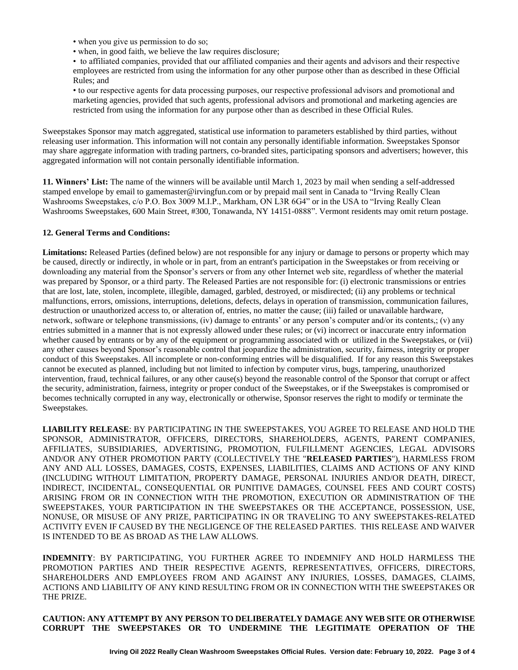• when you give us permission to do so;

• when, in good faith, we believe the law requires disclosure;

• to affiliated companies, provided that our affiliated companies and their agents and advisors and their respective employees are restricted from using the information for any other purpose other than as described in these Official Rules; and

• to our respective agents for data processing purposes, our respective professional advisors and promotional and marketing agencies, provided that such agents, professional advisors and promotional and marketing agencies are restricted from using the information for any purpose other than as described in these Official Rules.

Sweepstakes Sponsor may match aggregated, statistical use information to parameters established by third parties, without releasing user information. This information will not contain any personally identifiable information. Sweepstakes Sponsor may share aggregate information with trading partners, co-branded sites, participating sponsors and advertisers; however, this aggregated information will not contain personally identifiable information.

**11. Winners' List:** The name of the winners will be available until March 1, 2023 by mail when sending a self-addressed stamped envelope by email to gamemaster@irvingfun.com or by prepaid mail sent in Canada to "Irving Really Clean Washrooms Sweepstakes, c/o P.O. Box 3009 M.I.P., Markham, ON L3R 6G4" or in the USA to "Irving Really Clean Washrooms Sweepstakes, 600 Main Street, #300, Tonawanda, NY 14151-0888". Vermont residents may omit return postage.

## **12. General Terms and Conditions:**

**Limitations:** Released Parties (defined below) are not responsible for any injury or damage to persons or property which may be caused, directly or indirectly, in whole or in part, from an entrant's participation in the Sweepstakes or from receiving or downloading any material from the Sponsor's servers or from any other Internet web site, regardless of whether the material was prepared by Sponsor, or a third party. The Released Parties are not responsible for: (i) electronic transmissions or entries that are lost, late, stolen, incomplete, illegible, damaged, garbled, destroyed, or misdirected; (ii) any problems or technical malfunctions, errors, omissions, interruptions, deletions, defects, delays in operation of transmission, communication failures, destruction or unauthorized access to, or alteration of, entries, no matter the cause; (iii) failed or unavailable hardware, network, software or telephone transmissions, (iv) damage to entrants' or any person's computer and/or its contents,; (v) any entries submitted in a manner that is not expressly allowed under these rules; or (vi) incorrect or inaccurate entry information whether caused by entrants or by any of the equipment or programming associated with or utilized in the Sweepstakes, or (vii) any other causes beyond Sponsor's reasonable control that jeopardize the administration, security, fairness, integrity or proper conduct of this Sweepstakes. All incomplete or non-conforming entries will be disqualified. If for any reason this Sweepstakes cannot be executed as planned, including but not limited to infection by computer virus, bugs, tampering, unauthorized intervention, fraud, technical failures, or any other cause(s) beyond the reasonable control of the Sponsor that corrupt or affect the security, administration, fairness, integrity or proper conduct of the Sweepstakes, or if the Sweepstakes is compromised or becomes technically corrupted in any way, electronically or otherwise, Sponsor reserves the right to modify or terminate the Sweepstakes.

**LIABILITY RELEASE**: BY PARTICIPATING IN THE SWEEPSTAKES, YOU AGREE TO RELEASE AND HOLD THE SPONSOR, ADMINISTRATOR, OFFICERS, DIRECTORS, SHAREHOLDERS, AGENTS, PARENT COMPANIES, AFFILIATES, SUBSIDIARIES, ADVERTISING, PROMOTION, FULFILLMENT AGENCIES, LEGAL ADVISORS AND/OR ANY OTHER PROMOTION PARTY (COLLECTIVELY THE "**RELEASED PARTIES**"), HARMLESS FROM ANY AND ALL LOSSES, DAMAGES, COSTS, EXPENSES, LIABILITIES, CLAIMS AND ACTIONS OF ANY KIND (INCLUDING WITHOUT LIMITATION, PROPERTY DAMAGE, PERSONAL INJURIES AND/OR DEATH, DIRECT, INDIRECT, INCIDENTAL, CONSEQUENTIAL OR PUNITIVE DAMAGES, COUNSEL FEES AND COURT COSTS) ARISING FROM OR IN CONNECTION WITH THE PROMOTION, EXECUTION OR ADMINISTRATION OF THE SWEEPSTAKES, YOUR PARTICIPATION IN THE SWEEPSTAKES OR THE ACCEPTANCE, POSSESSION, USE, NONUSE, OR MISUSE OF ANY PRIZE, PARTICIPATING IN OR TRAVELING TO ANY SWEEPSTAKES-RELATED ACTIVITY EVEN IF CAUSED BY THE NEGLIGENCE OF THE RELEASED PARTIES. THIS RELEASE AND WAIVER IS INTENDED TO BE AS BROAD AS THE LAW ALLOWS.

**INDEMNITY**: BY PARTICIPATING, YOU FURTHER AGREE TO INDEMNIFY AND HOLD HARMLESS THE PROMOTION PARTIES AND THEIR RESPECTIVE AGENTS, REPRESENTATIVES, OFFICERS, DIRECTORS, SHAREHOLDERS AND EMPLOYEES FROM AND AGAINST ANY INJURIES, LOSSES, DAMAGES, CLAIMS, ACTIONS AND LIABILITY OF ANY KIND RESULTING FROM OR IN CONNECTION WITH THE SWEEPSTAKES OR THE PRIZE.

**CAUTION: ANY ATTEMPT BY ANY PERSON TO DELIBERATELY DAMAGE ANY WEB SITE OR OTHERWISE CORRUPT THE SWEEPSTAKES OR TO UNDERMINE THE LEGITIMATE OPERATION OF THE**